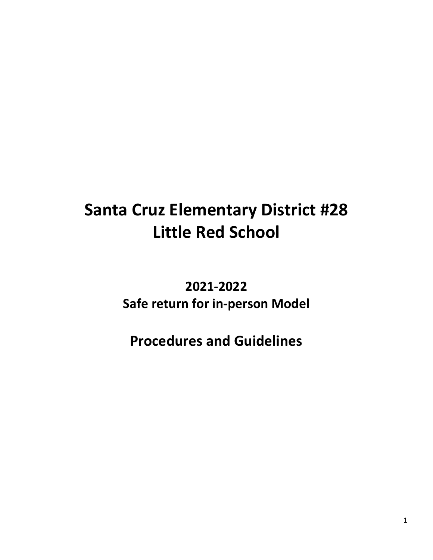# **Santa Cruz Elementary District #28 Little Red School**

## **2021-2022 Safe return for in-person Model**

## **Procedures and Guidelines**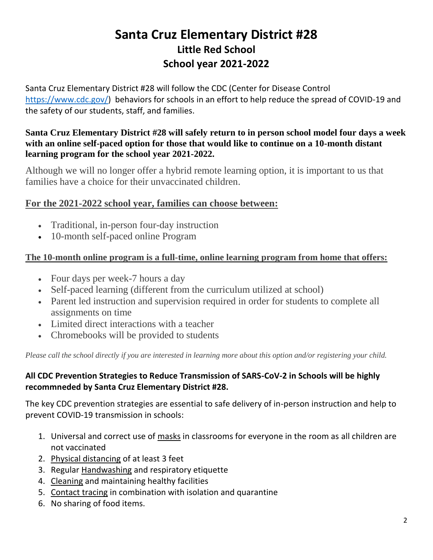## **Santa Cruz Elementary District #28 Little Red School School year 2021-2022**

Santa Cruz Elementary District #28 will follow the CDC (Center for Disease Control [https://www.cdc.gov/\)](https://www.cdc.gov/) behaviors for schools in an effort to help reduce the spread of COVID-19 and the safety of our students, staff, and families.

#### **Santa Cruz Elementary District #28 will safely return to in person school model four days a week with an online self-paced option for those that would like to continue on a 10-month distant learning program for the school year 2021-2022.**

Although we will no longer offer a hybrid remote learning option, it is important to us that families have a choice for their unvaccinated children.

#### **For the 2021-2022 school year, families can choose between:**

- Traditional, in-person four-day instruction
- 10-month self-paced online Program

#### **The 10-month online program is a full-time, online learning program from home that offers:**

- Four days per week-7 hours a day
- Self-paced learning (different from the curriculum utilized at school)
- Parent led instruction and supervision required in order for students to complete all assignments on time
- Limited direct interactions with a teacher
- Chromebooks will be provided to students

*Please call the school directly if you are interested in learning more about this option and/or registering your child.*

#### **All CDC Prevention Strategies to Reduce Transmission of SARS-CoV-2 in Schools will be highly recommneded by Santa Cruz Elementary District #28.**

The key CDC prevention strategies are essential to safe delivery of in-person instruction and help to prevent COVID-19 transmission in schools:

- 1. Universal and correct use of [masks](https://www.cdc.gov/coronavirus/2019-ncov/community/schools-childcare/cloth-face-cover.html) in classrooms for everyone in the room as all children are not vaccinated
- 2. [Physical distancing](https://www.cdc.gov/coronavirus/2019-ncov/prevent-getting-sick/social-distancing.html) of at least 3 feet
- 3. Regular Handwashing [and respiratory etiquette](https://www.cdc.gov/handwashing/when-how-handwashing.html)
- 4. [Cleaning](https://www.cdc.gov/coronavirus/2019-ncov/community/clean-disinfect/index.html) and maintaining healthy facilities
- 5. [Contact tracing](https://www.cdc.gov/coronavirus/2019-ncov/php/open-america/contact-tracing-resources.html) in combination with isolation and quarantine
- 6. No sharing of food items.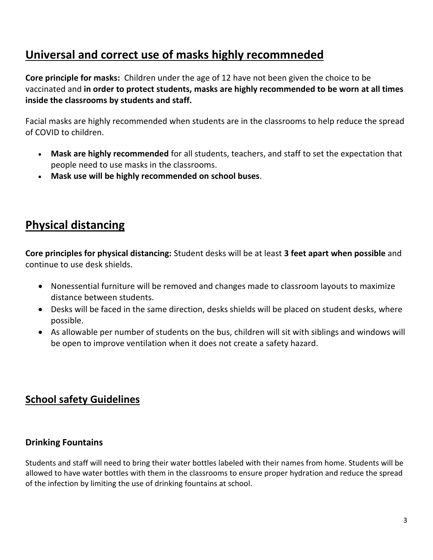## **Universal and correct use of masks highly recommneded**

**Core principle for masks:** Children under the age of 12 have not been given the choice to be vaccinated and **in order to protect students, masks are highly recommended to be worn at all times inside the classrooms by students and staff.**

Facial masks are highly recommended when students are in the classrooms to help reduce the spread of COVID to children.

- **Mask are highly recommended** for all students, teachers, and staff to set the expectation that people need to use masks in the classrooms.
- **Mask use will be highly recommended on school buses**.

## **Physical distancing**

**Core principles for physical distancing:** Student desks will be at least **3 feet apart when possible** and continue to use desk shields.

- Nonessential furniture will be removed and changes made to classroom layouts to maximize distance between students.
- Desks will be faced in the same direction, desks shields will be placed on student desks, where possible.
- As allowable per number of students on the bus, children will sit with siblings and windows will be open to improve ventilation when it does not create a safety hazard.

### **School safety Guidelines**

#### **Drinking Fountains**

Students and staff will need to bring their water bottles labeled with their names from home. Students will be allowed to have water bottles with them in the classrooms to ensure proper hydration and reduce the spread of the infection by limiting the use of drinking fountains at school.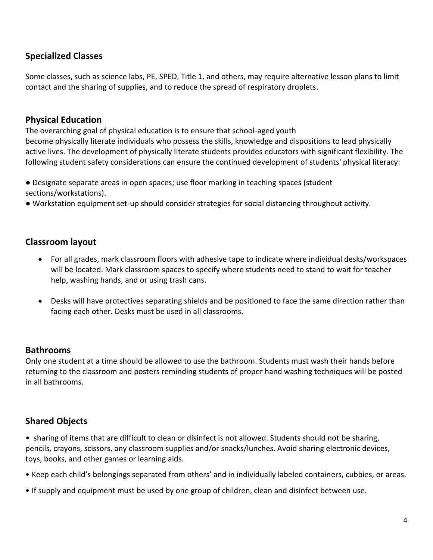#### **Specialized Classes**

Some classes, such as science labs, PE, SPED, Title 1, and others, may require alternative lesson plans to limit contact and the sharing of supplies, and to reduce the spread of respiratory droplets.

#### **Physical Education**

The overarching goal of physical education is to ensure that school-aged youth become physically literate individuals who possess the skills, knowledge and dispositions to lead physically active lives. The development of physically literate students provides educators with significant flexibility. The following student safety considerations can ensure the continued development of students' physical literacy:

● Designate separate areas in open spaces; use floor marking in teaching spaces (student sections/workstations).

● Workstation equipment set-up should consider strategies for social distancing throughout activity.

#### **Classroom layout**

- For all grades, mark classroom floors with adhesive tape to indicate where individual desks/workspaces will be located. Mark classroom spaces to specify where students need to stand to wait for teacher help, washing hands, and or using trash cans.
- Desks will have protectives separating shields and be positioned to face the same direction rather than facing each other. Desks must be used in all classrooms.

#### **Bathrooms**

Only one student at a time should be allowed to use the bathroom. Students must wash their hands before returning to the classroom and posters reminding students of proper hand washing techniques will be posted in all bathrooms.

#### **Shared Objects**

• sharing of items that are difficult to clean or disinfect is not allowed. Students should not be sharing, pencils, crayons, scissors, any classroom supplies and/or snacks/lunches. Avoid sharing electronic devices, toys, books, and other games or learning aids.

- Keep each child's belongings separated from others' and in individually labeled containers, cubbies, or areas.
- If supply and equipment must be used by one group of children, clean and disinfect between use.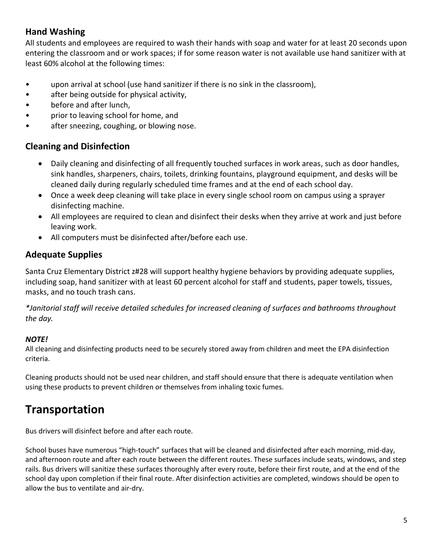#### **Hand Washing**

All students and employees are required to wash their hands with soap and water for at least 20 seconds upon entering the classroom and or work spaces; if for some reason water is not available use hand sanitizer with at least 60% alcohol at the following times:

- upon arrival at school (use hand sanitizer if there is no sink in the classroom),
- after being outside for physical activity,
- before and after lunch,
- prior to leaving school for home, and
- after sneezing, coughing, or blowing nose.

#### **Cleaning and Disinfection**

- Daily cleaning and disinfecting of all frequently touched surfaces in work areas, such as door handles, sink handles, sharpeners, chairs, toilets, drinking fountains, playground equipment, and desks will be cleaned daily during regularly scheduled time frames and at the end of each school day.
- Once a week deep cleaning will take place in every single school room on campus using a sprayer disinfecting machine.
- All employees are required to clean and disinfect their desks when they arrive at work and just before leaving work.
- All computers must be disinfected after/before each use.

#### **Adequate Supplies**

Santa Cruz Elementary District z#28 will support healthy hygiene behaviors by providing adequate supplies, including soap, hand sanitizer with at least 60 percent alcohol for staff and students, paper towels, tissues, masks, and no touch trash cans.

*\*Janitorial staff will receive detailed schedules for increased cleaning of surfaces and bathrooms throughout the day.*

#### *NOTE!*

All cleaning and disinfecting products need to be securely stored away from children and meet the EPA disinfection criteria.

Cleaning products should not be used near children, and staff should ensure that there is adequate ventilation when using these products to prevent children or themselves from inhaling toxic fumes.

### **Transportation**

Bus drivers will disinfect before and after each route.

School buses have numerous "high-touch" surfaces that will be cleaned and disinfected after each morning, mid-day, and afternoon route and after each route between the different routes. These surfaces include seats, windows, and step rails. Bus drivers will sanitize these surfaces thoroughly after every route, before their first route, and at the end of the school day upon completion if their final route. After disinfection activities are completed, windows should be open to allow the bus to ventilate and air-dry.